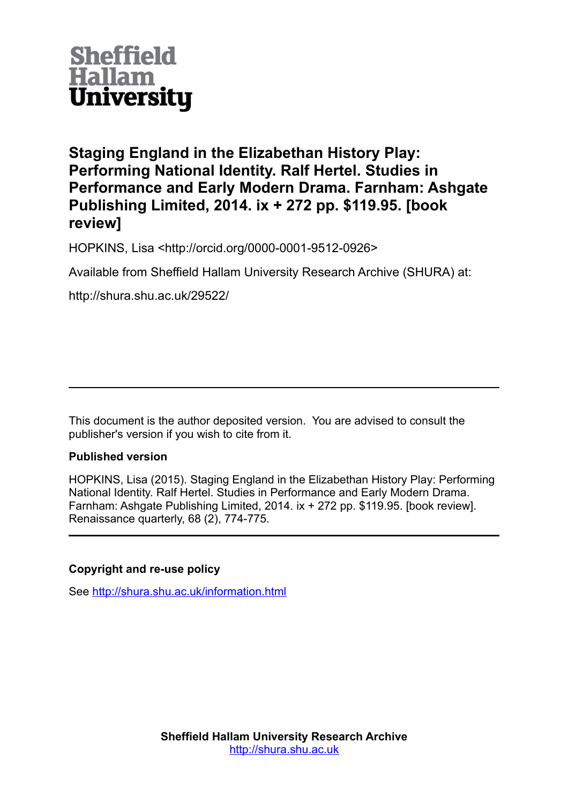

**Staging England in the Elizabethan History Play: Performing National Identity. Ralf Hertel. Studies in Performance and Early Modern Drama. Farnham: Ashgate Publishing Limited, 2014. ix + 272 pp. \$119.95. [book review]**

HOPKINS, Lisa <http://orcid.org/0000-0001-9512-0926>

Available from Sheffield Hallam University Research Archive (SHURA) at:

http://shura.shu.ac.uk/29522/

This document is the author deposited version. You are advised to consult the publisher's version if you wish to cite from it.

## **Published version**

HOPKINS, Lisa (2015). Staging England in the Elizabethan History Play: Performing National Identity. Ralf Hertel. Studies in Performance and Early Modern Drama. Farnham: Ashgate Publishing Limited, 2014. ix + 272 pp. \$119.95. [book review]. Renaissance quarterly, 68 (2), 774-775.

## **Copyright and re-use policy**

See<http://shura.shu.ac.uk/information.html>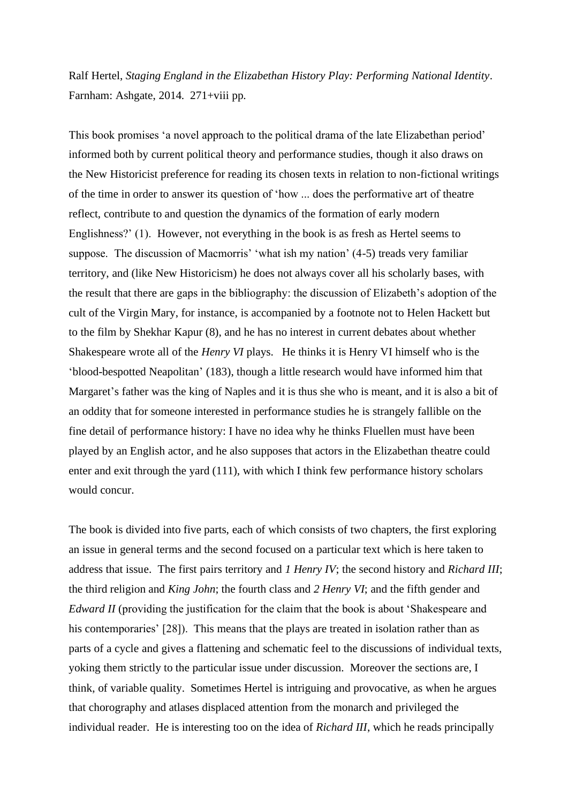Ralf Hertel, *Staging England in the Elizabethan History Play: Performing National Identity*. Farnham: Ashgate, 2014. 271+viii pp.

This book promises 'a novel approach to the political drama of the late Elizabethan period' informed both by current political theory and performance studies, though it also draws on the New Historicist preference for reading its chosen texts in relation to non-fictional writings of the time in order to answer its question of 'how ... does the performative art of theatre reflect, contribute to and question the dynamics of the formation of early modern Englishness?' (1). However, not everything in the book is as fresh as Hertel seems to suppose. The discussion of Macmorris' 'what ish my nation' (4-5) treads very familiar territory, and (like New Historicism) he does not always cover all his scholarly bases, with the result that there are gaps in the bibliography: the discussion of Elizabeth's adoption of the cult of the Virgin Mary, for instance, is accompanied by a footnote not to Helen Hackett but to the film by Shekhar Kapur (8), and he has no interest in current debates about whether Shakespeare wrote all of the *Henry VI* plays. He thinks it is Henry VI himself who is the 'blood-bespotted Neapolitan' (183), though a little research would have informed him that Margaret's father was the king of Naples and it is thus she who is meant, and it is also a bit of an oddity that for someone interested in performance studies he is strangely fallible on the fine detail of performance history: I have no idea why he thinks Fluellen must have been played by an English actor, and he also supposes that actors in the Elizabethan theatre could enter and exit through the yard (111), with which I think few performance history scholars would concur.

The book is divided into five parts, each of which consists of two chapters, the first exploring an issue in general terms and the second focused on a particular text which is here taken to address that issue. The first pairs territory and *1 Henry IV*; the second history and *Richard III*; the third religion and *King John*; the fourth class and *2 Henry VI*; and the fifth gender and *Edward II* (providing the justification for the claim that the book is about 'Shakespeare and his contemporaries' [28]). This means that the plays are treated in isolation rather than as parts of a cycle and gives a flattening and schematic feel to the discussions of individual texts, yoking them strictly to the particular issue under discussion. Moreover the sections are, I think, of variable quality. Sometimes Hertel is intriguing and provocative, as when he argues that chorography and atlases displaced attention from the monarch and privileged the individual reader. He is interesting too on the idea of *Richard III*, which he reads principally